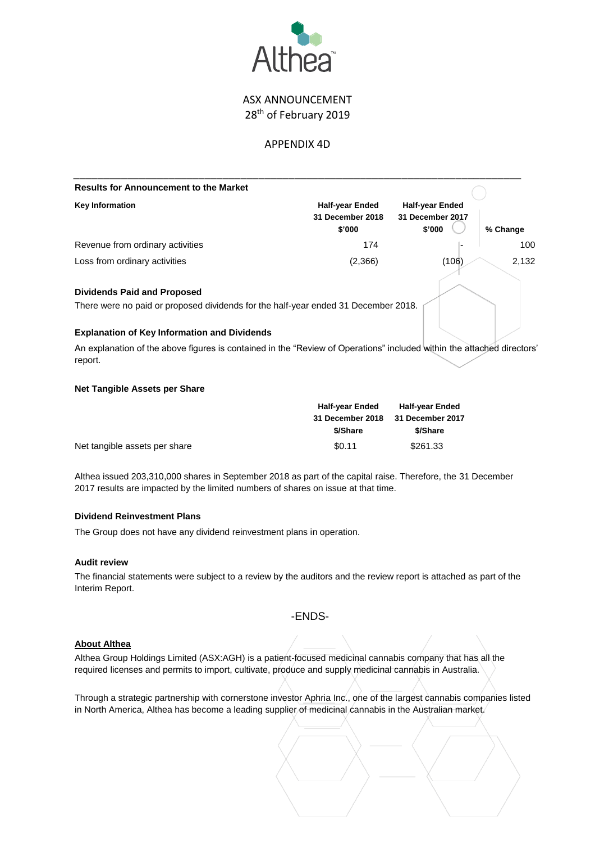

# ASX ANNOUNCEMENT 28<sup>th</sup> of February 2019

# APPENDIX 4D

| <b>Results for Announcement to the Market</b>                                                                                     |                                                      |                                                      |          |  |
|-----------------------------------------------------------------------------------------------------------------------------------|------------------------------------------------------|------------------------------------------------------|----------|--|
| <b>Key Information</b>                                                                                                            | <b>Half-year Ended</b><br>31 December 2018<br>\$'000 | <b>Half-year Ended</b><br>31 December 2017<br>\$'000 | % Change |  |
| Revenue from ordinary activities                                                                                                  | 174                                                  |                                                      | 100      |  |
| Loss from ordinary activities                                                                                                     | (2,366)                                              | (106)                                                | 2,132    |  |
| <b>Dividends Paid and Proposed</b>                                                                                                |                                                      |                                                      |          |  |
| There were no paid or proposed dividends for the half-year ended 31 December 2018.                                                |                                                      |                                                      |          |  |
| <b>Explanation of Key Information and Dividends</b>                                                                               |                                                      |                                                      |          |  |
| An explanation of the above figures is contained in the "Review of Operations" included within the attached directors'<br>report. |                                                      |                                                      |          |  |

# **Net Tangible Assets per Share**

|                               | <b>Half-year Ended</b> | <b>Half-year Ended</b><br>31 December 2017 |  |
|-------------------------------|------------------------|--------------------------------------------|--|
|                               | 31 December 2018       |                                            |  |
|                               | \$/Share               | \$/Share                                   |  |
| Net tangible assets per share | \$0.11                 | \$261.33                                   |  |

Althea issued 203,310,000 shares in September 2018 as part of the capital raise. Therefore, the 31 December 2017 results are impacted by the limited numbers of shares on issue at that time.

# **Dividend Reinvestment Plans**

The Group does not have any dividend reinvestment plans in operation.

#### **Audit review**

The financial statements were subject to a review by the auditors and the review report is attached as part of the Interim Report.

# -ENDS-

# **About Althea**

Althea Group Holdings Limited (ASX:AGH) is a patient-focused medicinal cannabis company that has all the required licenses and permits to import, cultivate, produce and supply medicinal cannabis in Australia.

Through a strategic partnership with cornerstone investor Aphria Inc., one of the largest cannabis companies listed in North America, Althea has become a leading supplier of medicinal cannabis in the Australian market.